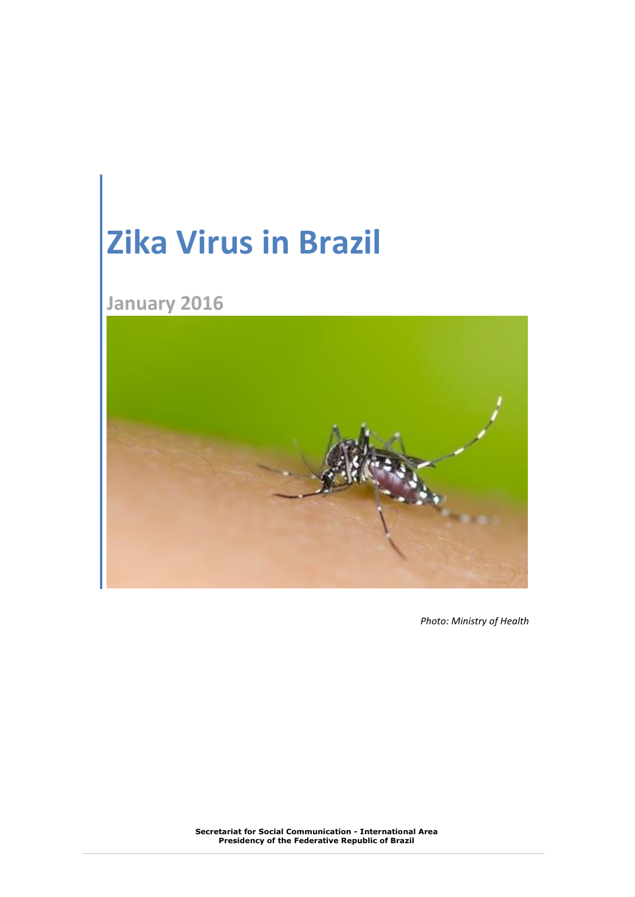# **Zika Virus in Brazil**

## **January 2016**



*Photo: Ministry of Health*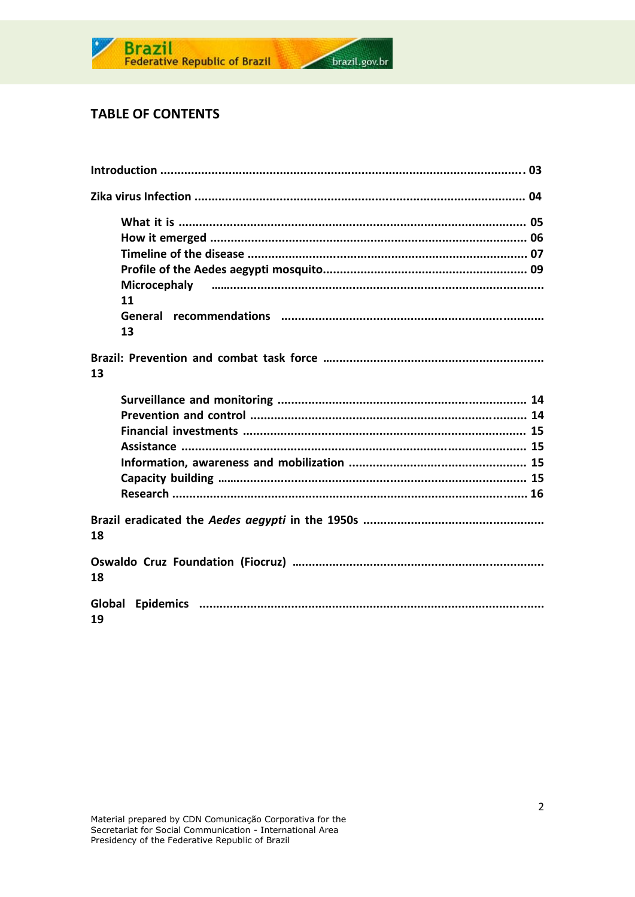

### **TABLE OF CONTENTS**

| 11 |
|----|
| 13 |
| 13 |
|    |
|    |
|    |
|    |
|    |
|    |
|    |
| 18 |
| 18 |
| 19 |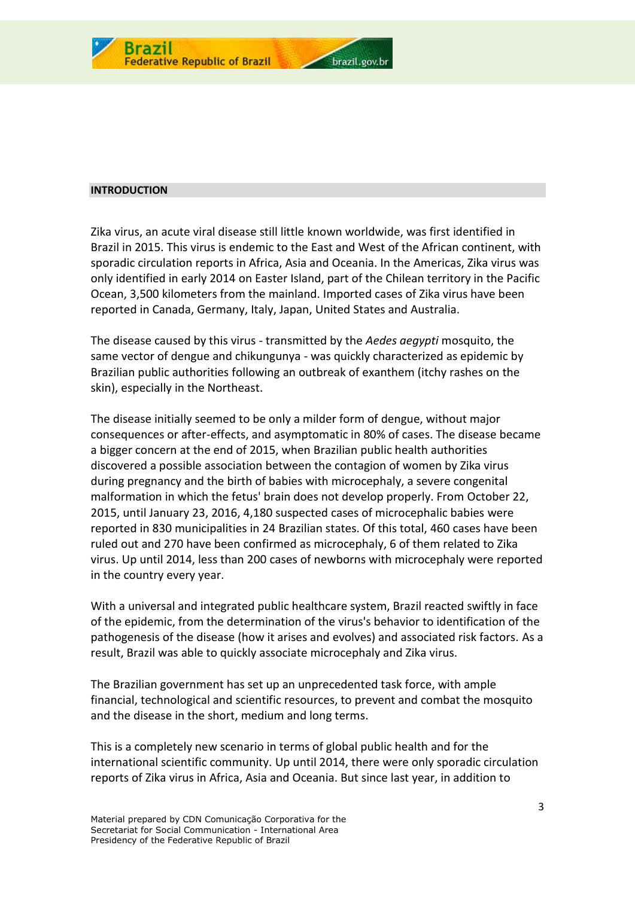

#### **INTRODUCTION**

Zika virus, an acute viral disease still little known worldwide, was first identified in Brazil in 2015. This virus is endemic to the East and West of the African continent, with sporadic circulation reports in Africa, Asia and Oceania. In the Americas, Zika virus was only identified in early 2014 on Easter Island, part of the Chilean territory in the Pacific Ocean, 3,500 kilometers from the mainland. Imported cases of Zika virus have been reported in Canada, Germany, Italy, Japan, United States and Australia.

The disease caused by this virus - transmitted by the *Aedes aegypti* mosquito, the same vector of dengue and chikungunya - was quickly characterized as epidemic by Brazilian public authorities following an outbreak of exanthem (itchy rashes on the skin), especially in the Northeast.

The disease initially seemed to be only a milder form of dengue, without major consequences or after-effects, and asymptomatic in 80% of cases. The disease became a bigger concern at the end of 2015, when Brazilian public health authorities discovered a possible association between the contagion of women by Zika virus during pregnancy and the birth of babies with microcephaly, a severe congenital malformation in which the fetus' brain does not develop properly. From October 22, 2015, until January 23, 2016, 4,180 suspected cases of microcephalic babies were reported in 830 municipalities in 24 Brazilian states. Of this total, 460 cases have been ruled out and 270 have been confirmed as microcephaly, 6 of them related to Zika virus. Up until 2014, less than 200 cases of newborns with microcephaly were reported in the country every year.

With a universal and integrated public healthcare system, Brazil reacted swiftly in face of the epidemic, from the determination of the virus's behavior to identification of the pathogenesis of the disease (how it arises and evolves) and associated risk factors. As a result, Brazil was able to quickly associate microcephaly and Zika virus.

The Brazilian government has set up an unprecedented task force, with ample financial, technological and scientific resources, to prevent and combat the mosquito and the disease in the short, medium and long terms.

This is a completely new scenario in terms of global public health and for the international scientific community. Up until 2014, there were only sporadic circulation reports of Zika virus in Africa, Asia and Oceania. But since last year, in addition to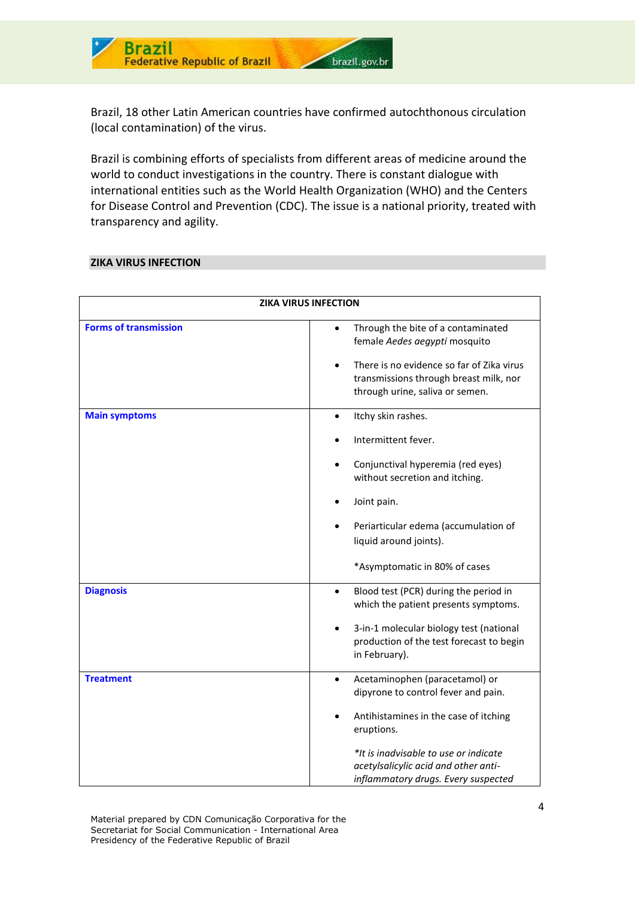

Brazil, 18 other Latin American countries have confirmed autochthonous circulation (local contamination) of the virus.

Brazil is combining efforts of specialists from different areas of medicine around the world to conduct investigations in the country. There is constant dialogue with international entities such as the World Health Organization (WHO) and the Centers for Disease Control and Prevention (CDC). The issue is a national priority, treated with transparency and agility.

#### **ZIKA VIRUS INFECTION**

| <b>ZIKA VIRUS INFECTION</b>  |                                                                                                                                                                                                                                                                   |  |  |
|------------------------------|-------------------------------------------------------------------------------------------------------------------------------------------------------------------------------------------------------------------------------------------------------------------|--|--|
| <b>Forms of transmission</b> | Through the bite of a contaminated<br>female Aedes aegypti mosquito<br>There is no evidence so far of Zika virus<br>$\bullet$<br>transmissions through breast milk, nor<br>through urine, saliva or semen.                                                        |  |  |
| <b>Main symptoms</b>         | Itchy skin rashes.<br>$\bullet$<br>Intermittent fever.<br>Conjunctival hyperemia (red eyes)<br>without secretion and itching.<br>Joint pain.<br>Periarticular edema (accumulation of<br>liquid around joints).<br>*Asymptomatic in 80% of cases                   |  |  |
| <b>Diagnosis</b>             | Blood test (PCR) during the period in<br>$\bullet$<br>which the patient presents symptoms.<br>3-in-1 molecular biology test (national<br>production of the test forecast to begin<br>in February).                                                                |  |  |
| <b>Treatment</b>             | Acetaminophen (paracetamol) or<br>$\bullet$<br>dipyrone to control fever and pain.<br>Antihistamines in the case of itching<br>eruptions.<br>*It is inadvisable to use or indicate<br>acetylsalicylic acid and other anti-<br>inflammatory drugs. Every suspected |  |  |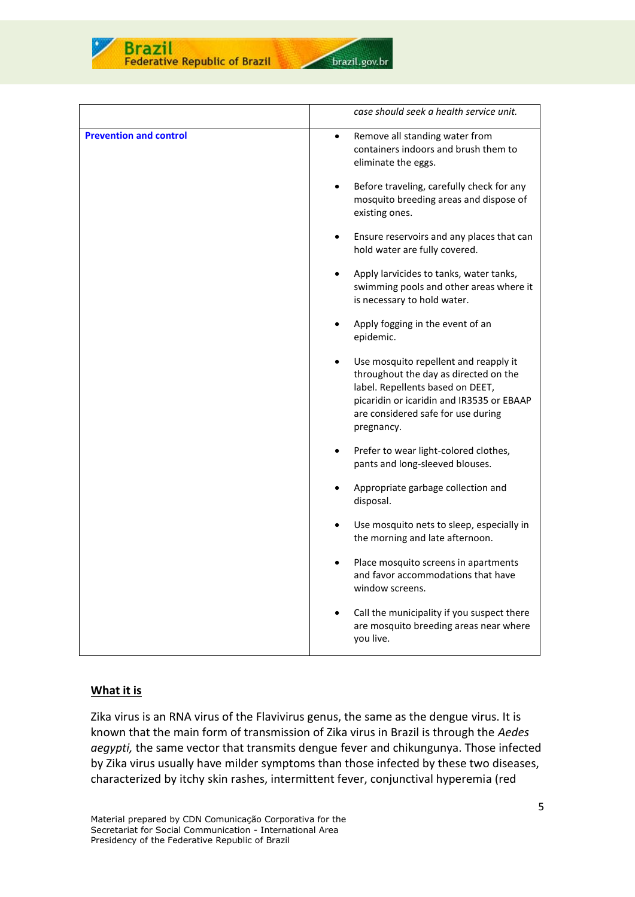

**Federative Republic of Brazil** 



|                               | case should seek a health service unit.                                                                                                                                                                             |
|-------------------------------|---------------------------------------------------------------------------------------------------------------------------------------------------------------------------------------------------------------------|
| <b>Prevention and control</b> | Remove all standing water from<br>$\bullet$<br>containers indoors and brush them to<br>eliminate the eggs.                                                                                                          |
|                               | Before traveling, carefully check for any<br>mosquito breeding areas and dispose of<br>existing ones.                                                                                                               |
|                               | Ensure reservoirs and any places that can<br>hold water are fully covered.                                                                                                                                          |
|                               | Apply larvicides to tanks, water tanks,<br>swimming pools and other areas where it<br>is necessary to hold water.                                                                                                   |
|                               | Apply fogging in the event of an<br>epidemic.                                                                                                                                                                       |
|                               | Use mosquito repellent and reapply it<br>throughout the day as directed on the<br>label. Repellents based on DEET,<br>picaridin or icaridin and IR3535 or EBAAP<br>are considered safe for use during<br>pregnancy. |
|                               | Prefer to wear light-colored clothes,<br>pants and long-sleeved blouses.                                                                                                                                            |
|                               | Appropriate garbage collection and<br>$\bullet$<br>disposal.                                                                                                                                                        |
|                               | Use mosquito nets to sleep, especially in<br>the morning and late afternoon.                                                                                                                                        |
|                               | Place mosquito screens in apartments<br>$\bullet$<br>and favor accommodations that have<br>window screens.                                                                                                          |
|                               | Call the municipality if you suspect there<br>are mosquito breeding areas near where<br>you live.                                                                                                                   |

#### **What it is**

Zika virus is an RNA virus of the Flavivirus genus, the same as the dengue virus. It is known that the main form of transmission of Zika virus in Brazil is through the *Aedes aegypti,* the same vector that transmits dengue fever and chikungunya. Those infected by Zika virus usually have milder symptoms than those infected by these two diseases, characterized by itchy skin rashes, intermittent fever, conjunctival hyperemia (red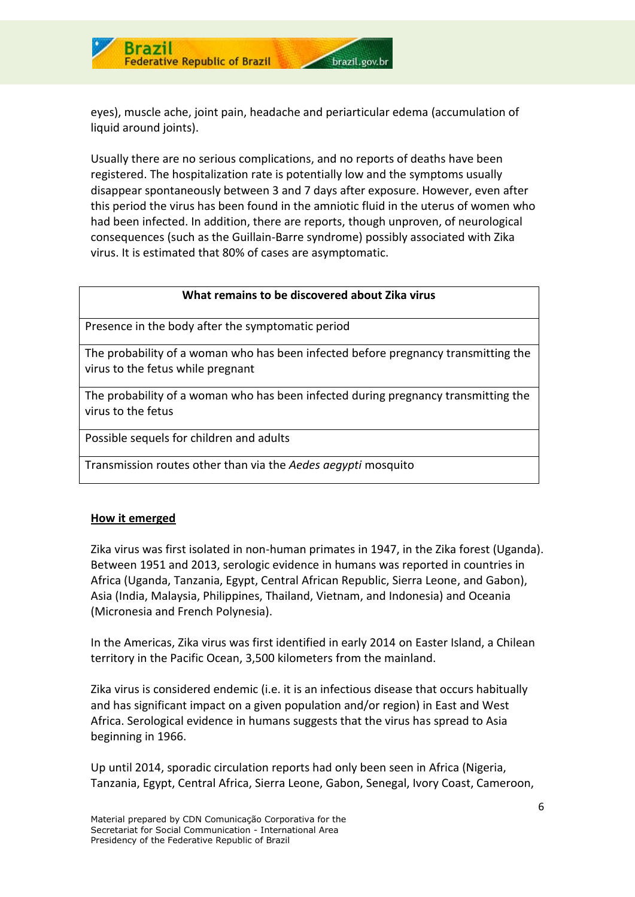

eyes), muscle ache, joint pain, headache and periarticular edema (accumulation of liquid around joints).

brazil.gov.br

Usually there are no serious complications, and no reports of deaths have been registered. The hospitalization rate is potentially low and the symptoms usually disappear spontaneously between 3 and 7 days after exposure. However, even after this period the virus has been found in the amniotic fluid in the uterus of women who had been infected. In addition, there are reports, though unproven, of neurological consequences (such as the Guillain-Barre syndrome) possibly associated with Zika virus. It is estimated that 80% of cases are asymptomatic.

#### **What remains to be discovered about Zika virus**

Presence in the body after the symptomatic period

The probability of a woman who has been infected before pregnancy transmitting the virus to the fetus while pregnant

The probability of a woman who has been infected during pregnancy transmitting the virus to the fetus

Possible sequels for children and adults

Transmission routes other than via the *Aedes aegypti* mosquito

#### **How it emerged**

Zika virus was first isolated in non-human primates in 1947, in the Zika forest (Uganda). Between 1951 and 2013, serologic evidence in humans was reported in countries in Africa (Uganda, Tanzania, Egypt, Central African Republic, Sierra Leone, and Gabon), Asia (India, Malaysia, Philippines, Thailand, Vietnam, and Indonesia) and Oceania (Micronesia and French Polynesia).

In the Americas, Zika virus was first identified in early 2014 on Easter Island, a Chilean territory in the Pacific Ocean, 3,500 kilometers from the mainland.

Zika virus is considered endemic (i.e. it is an infectious disease that occurs habitually and has significant impact on a given population and/or region) in East and West Africa. Serological evidence in humans suggests that the virus has spread to Asia beginning in 1966.

Up until 2014, sporadic circulation reports had only been seen in Africa (Nigeria, Tanzania, Egypt, Central Africa, Sierra Leone, Gabon, Senegal, Ivory Coast, Cameroon,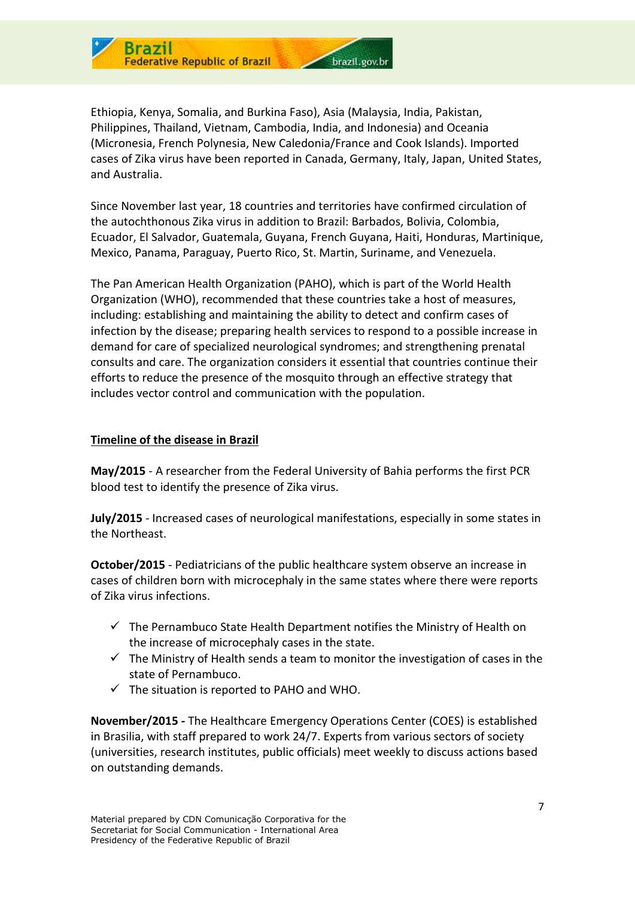

Ethiopia, Kenya, Somalia, and Burkina Faso), Asia (Malaysia, India, Pakistan, Philippines, Thailand, Vietnam, Cambodia, India, and Indonesia) and Oceania (Micronesia, French Polynesia, New Caledonia/France and Cook Islands). Imported cases of Zika virus have been reported in Canada, Germany, Italy, Japan, United States, and Australia.

Since November last year, 18 countries and territories have confirmed circulation of the autochthonous Zika virus in addition to Brazil: Barbados, Bolivia, Colombia, Ecuador, El Salvador, Guatemala, Guyana, French Guyana, Haiti, Honduras, Martinique, Mexico, Panama, Paraguay, Puerto Rico, St. Martin, Suriname, and Venezuela.

The Pan American Health Organization (PAHO), which is part of the World Health Organization (WHO), recommended that these countries take a host of measures, including: establishing and maintaining the ability to detect and confirm cases of infection by the disease; preparing health services to respond to a possible increase in demand for care of specialized neurological syndromes; and strengthening prenatal consults and care. The organization considers it essential that countries continue their efforts to reduce the presence of the mosquito through an effective strategy that includes vector control and communication with the population.

#### **Timeline of the disease in Brazil**

**May/2015** - A researcher from the Federal University of Bahia performs the first PCR blood test to identify the presence of Zika virus.

**July/2015** - Increased cases of neurological manifestations, especially in some states in the Northeast.

**October/2015** - Pediatricians of the public healthcare system observe an increase in cases of children born with microcephaly in the same states where there were reports of Zika virus infections.

- $\checkmark$  The Pernambuco State Health Department notifies the Ministry of Health on the increase of microcephaly cases in the state.
- $\checkmark$  The Ministry of Health sends a team to monitor the investigation of cases in the state of Pernambuco.
- $\checkmark$  The situation is reported to PAHO and WHO.

**November/2015 -** The Healthcare Emergency Operations Center (COES) is established in Brasilia, with staff prepared to work 24/7. Experts from various sectors of society (universities, research institutes, public officials) meet weekly to discuss actions based on outstanding demands.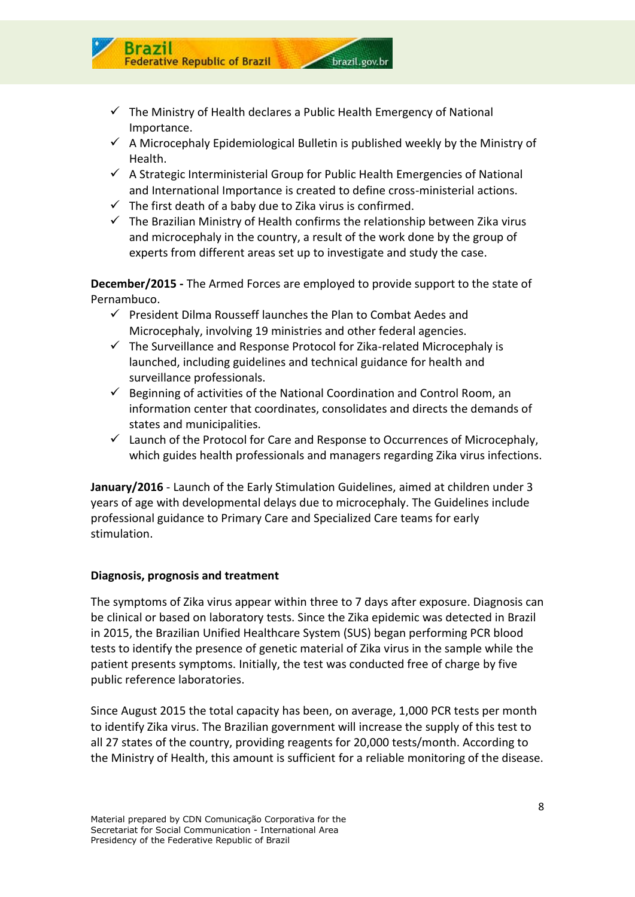

 $\checkmark$  A Microcephaly Epidemiological Bulletin is published weekly by the Ministry of Health.

brazil.gov.br

- $\checkmark$  A Strategic Interministerial Group for Public Health Emergencies of National and International Importance is created to define cross-ministerial actions.
- $\checkmark$  The first death of a baby due to Zika virus is confirmed.
- $\checkmark$  The Brazilian Ministry of Health confirms the relationship between Zika virus and microcephaly in the country, a result of the work done by the group of experts from different areas set up to investigate and study the case.

**December/2015 -** The Armed Forces are employed to provide support to the state of Pernambuco.

- $\checkmark$  President Dilma Rousseff launches the Plan to Combat Aedes and Microcephaly, involving 19 ministries and other federal agencies.
- $\checkmark$  The Surveillance and Response Protocol for Zika-related Microcephaly is launched, including guidelines and technical guidance for health and surveillance professionals.
- $\checkmark$  Beginning of activities of the National Coordination and Control Room, an information center that coordinates, consolidates and directs the demands of states and municipalities.
- $\checkmark$  Launch of the Protocol for Care and Response to Occurrences of Microcephaly, which guides health professionals and managers regarding Zika virus infections.

**January/2016** - Launch of the Early Stimulation Guidelines, aimed at children under 3 years of age with developmental delays due to microcephaly. The Guidelines include professional guidance to Primary Care and Specialized Care teams for early stimulation.

#### **Diagnosis, prognosis and treatment**

Brazil

ederative Republic of Brazil

The symptoms of Zika virus appear within three to 7 days after exposure. Diagnosis can be clinical or based on laboratory tests. Since the Zika epidemic was detected in Brazil in 2015, the Brazilian Unified Healthcare System (SUS) began performing PCR blood tests to identify the presence of genetic material of Zika virus in the sample while the patient presents symptoms. Initially, the test was conducted free of charge by five public reference laboratories.

Since August 2015 the total capacity has been, on average, 1,000 PCR tests per month to identify Zika virus. The Brazilian government will increase the supply of this test to all 27 states of the country, providing reagents for 20,000 tests/month. According to the Ministry of Health, this amount is sufficient for a reliable monitoring of the disease.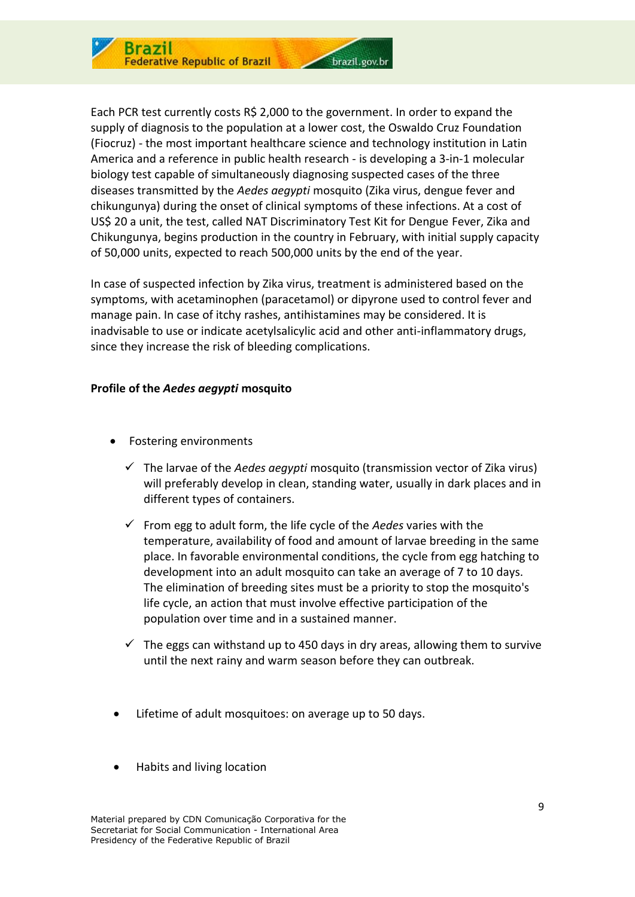

Each PCR test currently costs R\$ 2,000 to the government. In order to expand the supply of diagnosis to the population at a lower cost, the Oswaldo Cruz Foundation (Fiocruz) - the most important healthcare science and technology institution in Latin America and a reference in public health research - is developing a 3-in-1 molecular biology test capable of simultaneously diagnosing suspected cases of the three diseases transmitted by the *Aedes aegypti* mosquito (Zika virus, dengue fever and chikungunya) during the onset of clinical symptoms of these infections. At a cost of US\$ 20 a unit, the test, called NAT Discriminatory Test Kit for Dengue Fever, Zika and Chikungunya, begins production in the country in February, with initial supply capacity of 50,000 units, expected to reach 500,000 units by the end of the year.

In case of suspected infection by Zika virus, treatment is administered based on the symptoms, with acetaminophen (paracetamol) or dipyrone used to control fever and manage pain. In case of itchy rashes, antihistamines may be considered. It is inadvisable to use or indicate acetylsalicylic acid and other anti-inflammatory drugs, since they increase the risk of bleeding complications.

#### **Profile of the** *Aedes aegypti* **mosquito**

- Fostering environments
	- The larvae of the *Aedes aegypti* mosquito (transmission vector of Zika virus) will preferably develop in clean, standing water, usually in dark places and in different types of containers.
	- $\checkmark$  From egg to adult form, the life cycle of the *Aedes* varies with the temperature, availability of food and amount of larvae breeding in the same place. In favorable environmental conditions, the cycle from egg hatching to development into an adult mosquito can take an average of 7 to 10 days. The elimination of breeding sites must be a priority to stop the mosquito's life cycle, an action that must involve effective participation of the population over time and in a sustained manner.
	- $\checkmark$  The eggs can withstand up to 450 days in dry areas, allowing them to survive until the next rainy and warm season before they can outbreak.
- Lifetime of adult mosquitoes: on average up to 50 days.
- Habits and living location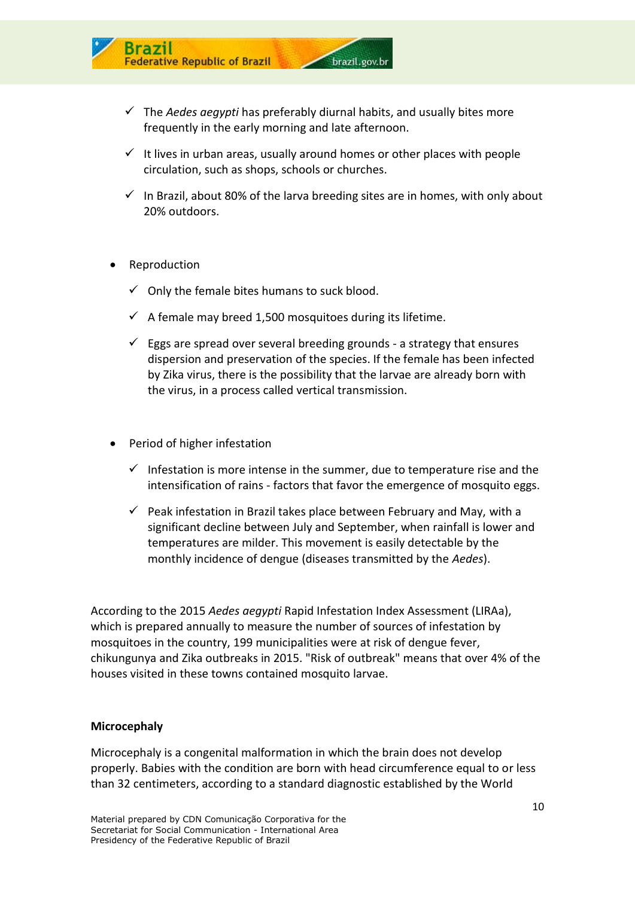

- $\checkmark$  The *Aedes aegypti* has preferably diurnal habits, and usually bites more frequently in the early morning and late afternoon.
- $\checkmark$  It lives in urban areas, usually around homes or other places with people circulation, such as shops, schools or churches.
- $\checkmark$  In Brazil, about 80% of the larva breeding sites are in homes, with only about 20% outdoors.
- Reproduction
	- $\checkmark$  Only the female bites humans to suck blood.
	- $\checkmark$  A female may breed 1,500 mosquitoes during its lifetime.
	- $\checkmark$  Eggs are spread over several breeding grounds a strategy that ensures dispersion and preservation of the species. If the female has been infected by Zika virus, there is the possibility that the larvae are already born with the virus, in a process called vertical transmission.
- Period of higher infestation
	- $\checkmark$  Infestation is more intense in the summer, due to temperature rise and the intensification of rains - factors that favor the emergence of mosquito eggs.
	- $\checkmark$  Peak infestation in Brazil takes place between February and May, with a significant decline between July and September, when rainfall is lower and temperatures are milder. This movement is easily detectable by the monthly incidence of dengue (diseases transmitted by the *Aedes*).

According to the 2015 *Aedes aegypti* Rapid Infestation Index Assessment (LIRAa), which is prepared annually to measure the number of sources of infestation by mosquitoes in the country, 199 municipalities were at risk of dengue fever, chikungunya and Zika outbreaks in 2015. "Risk of outbreak" means that over 4% of the houses visited in these towns contained mosquito larvae.

#### **Microcephaly**

Microcephaly is a congenital malformation in which the brain does not develop properly. Babies with the condition are born with head circumference equal to or less than 32 centimeters, according to a standard diagnostic established by the World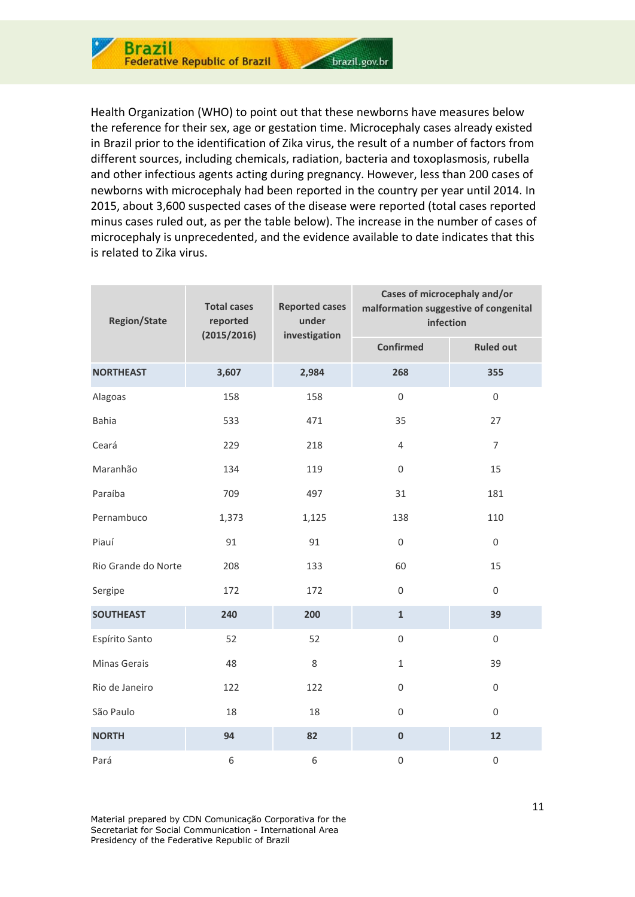

Health Organization (WHO) to point out that these newborns have measures below the reference for their sex, age or gestation time. Microcephaly cases already existed in Brazil prior to the identification of Zika virus, the result of a number of factors from different sources, including chemicals, radiation, bacteria and toxoplasmosis, rubella and other infectious agents acting during pregnancy. However, less than 200 cases of newborns with microcephaly had been reported in the country per year until 2014. In 2015, about 3,600 suspected cases of the disease were reported (total cases reported minus cases ruled out, as per the table below). The increase in the number of cases of microcephaly is unprecedented, and the evidence available to date indicates that this is related to Zika virus.

| <b>Region/State</b> | <b>Total cases</b><br>reported<br>(2015/2016) | <b>Reported cases</b><br>under<br>investigation | Cases of microcephaly and/or<br>malformation suggestive of congenital<br>infection |                  |  |
|---------------------|-----------------------------------------------|-------------------------------------------------|------------------------------------------------------------------------------------|------------------|--|
|                     |                                               |                                                 | <b>Confirmed</b>                                                                   | <b>Ruled out</b> |  |
| <b>NORTHEAST</b>    | 3,607                                         | 2,984                                           | 268                                                                                | 355              |  |
| Alagoas             | 158                                           | 158                                             | $\mathbf 0$                                                                        | $\mathbf 0$      |  |
| <b>Bahia</b>        | 533                                           | 471                                             | 35                                                                                 | 27               |  |
| Ceará               | 229                                           | 218                                             | $\overline{4}$                                                                     | $\overline{7}$   |  |
| Maranhão            | 134                                           | 119                                             | $\mathbf 0$                                                                        | 15               |  |
| Paraíba             | 709                                           | 497                                             | 31                                                                                 | 181              |  |
| Pernambuco          | 1,373                                         | 1,125                                           | 138                                                                                | 110              |  |
| Piauí               | 91                                            | 91                                              | $\boldsymbol{0}$                                                                   | $\boldsymbol{0}$ |  |
| Rio Grande do Norte | 208                                           | 133                                             | 60                                                                                 | 15               |  |
| Sergipe             | 172                                           | 172                                             | $\boldsymbol{0}$                                                                   | $\boldsymbol{0}$ |  |
| <b>SOUTHEAST</b>    | 240                                           | 200                                             | $\mathbf{1}$                                                                       | 39               |  |
| Espírito Santo      | 52                                            | 52                                              | $\mathbf 0$                                                                        | $\mathbf 0$      |  |
| Minas Gerais        | 48                                            | 8                                               | $\mathbf{1}$                                                                       | 39               |  |
| Rio de Janeiro      | 122                                           | 122                                             | $\mathbf 0$                                                                        | $\boldsymbol{0}$ |  |
| São Paulo           | 18                                            | 18                                              | $\mathbf 0$                                                                        | $\mathbf 0$      |  |
| <b>NORTH</b>        | 94                                            | 82                                              | $\pmb{0}$                                                                          | 12               |  |
| Pará                | 6                                             | 6                                               | $\mathbf 0$                                                                        | $\boldsymbol{0}$ |  |

Material prepared by CDN Comunicação Corporativa for the Secretariat for Social Communication - International Area Presidency of the Federative Republic of Brazil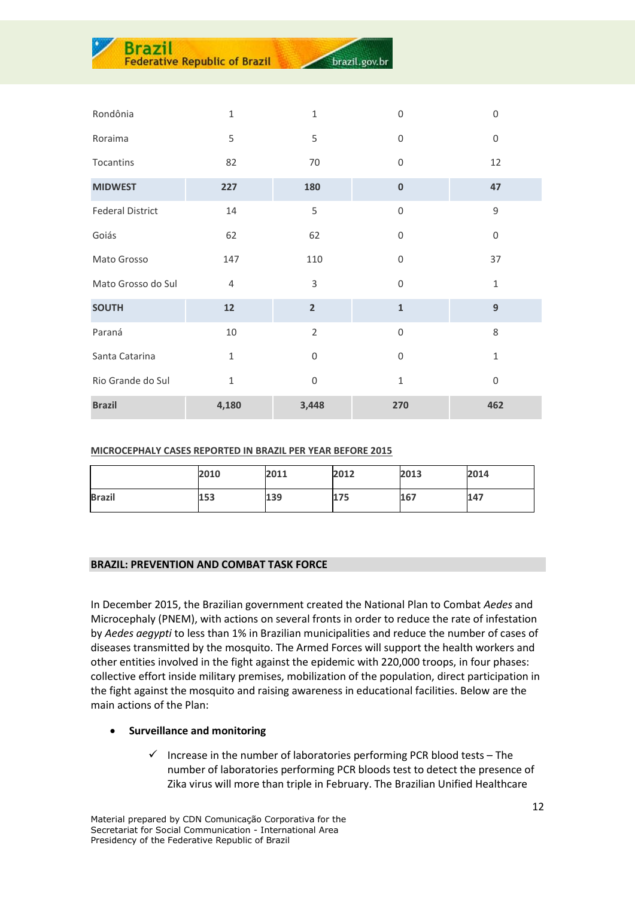| Rondônia                | $\mathbf{1}$   | $\mathbf{1}$     | $\boldsymbol{0}$ | $\boldsymbol{0}$ |
|-------------------------|----------------|------------------|------------------|------------------|
| Roraima                 | 5              | 5                | $\overline{0}$   | $\boldsymbol{0}$ |
| Tocantins               | 82             | 70               | $\overline{0}$   | 12               |
| <b>MIDWEST</b>          | 227            | 180              | $\bf{0}$         | 47               |
| <b>Federal District</b> | 14             | 5                | $\Omega$         | $\overline{9}$   |
| Goiás                   | 62             | 62               | $\overline{0}$   | $\boldsymbol{0}$ |
| Mato Grosso             | 147            | 110              | $\overline{0}$   | 37               |
| Mato Grosso do Sul      | $\overline{4}$ | 3                | $\mathbf 0$      | $\mathbf{1}$     |
| <b>SOUTH</b>            | 12             | $\overline{2}$   | $\mathbf{1}$     | 9                |
| Paraná                  | $10\,$         | $\overline{2}$   | $\mathbf 0$      | 8                |
| Santa Catarina          | $\mathbf{1}$   | $\boldsymbol{0}$ | $\mathbf 0$      | $\mathbf 1$      |
| Rio Grande do Sul       | $\mathbf{1}$   | $\boldsymbol{0}$ | $\mathbf{1}$     | $\mathbf 0$      |
| <b>Brazil</b>           | 4,180          | 3,448            | 270              | 462              |

brazil.gov.br

**MICROCEPHALY CASES REPORTED IN BRAZIL PER YEAR BEFORE 2015**

|               | 2010 | 2011 | 2012 | 2013 | 2014 |
|---------------|------|------|------|------|------|
| <b>Brazil</b> | 153  | 139  | 175  | 167  | 147  |

#### **BRAZIL: PREVENTION AND COMBAT TASK FORCE**

**Brazil** 

**Ederative Republic of Brazil** 

In December 2015, the Brazilian government created the National Plan to Combat *Aedes* and Microcephaly (PNEM), with actions on several fronts in order to reduce the rate of infestation by *Aedes aegypti* to less than 1% in Brazilian municipalities and reduce the number of cases of diseases transmitted by the mosquito. The Armed Forces will support the health workers and other entities involved in the fight against the epidemic with 220,000 troops, in four phases: collective effort inside military premises, mobilization of the population, direct participation in the fight against the mosquito and raising awareness in educational facilities. Below are the main actions of the Plan:

#### **Surveillance and monitoring**

 $\checkmark$  Increase in the number of laboratories performing PCR blood tests – The number of laboratories performing PCR bloods test to detect the presence of Zika virus will more than triple in February. The Brazilian Unified Healthcare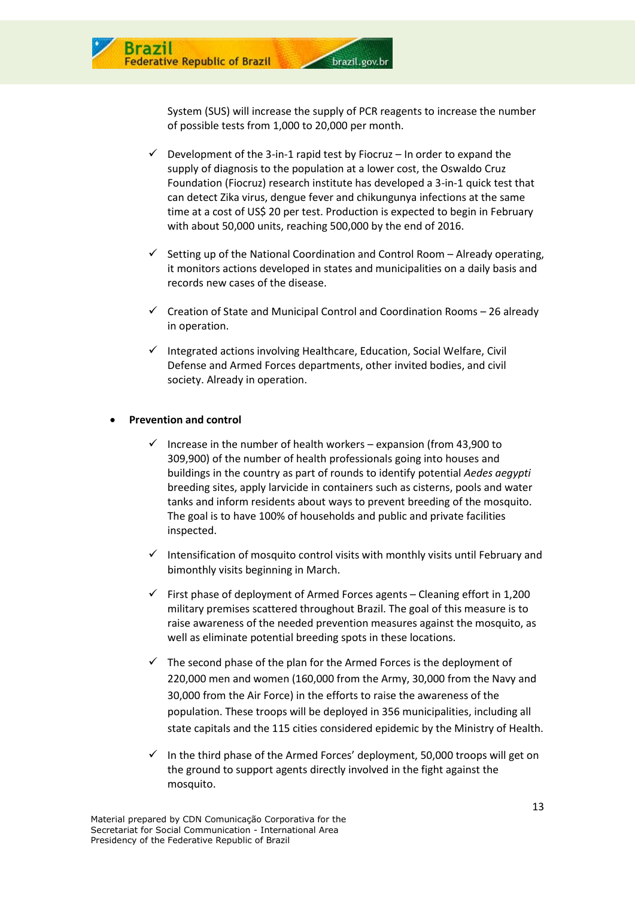

System (SUS) will increase the supply of PCR reagents to increase the number of possible tests from 1,000 to 20,000 per month.

- $\checkmark$  Development of the 3-in-1 rapid test by Fiocruz In order to expand the supply of diagnosis to the population at a lower cost, the Oswaldo Cruz Foundation (Fiocruz) research institute has developed a 3-in-1 quick test that can detect Zika virus, dengue fever and chikungunya infections at the same time at a cost of US\$ 20 per test. Production is expected to begin in February with about 50,000 units, reaching 500,000 by the end of 2016.
- $\checkmark$  Setting up of the National Coordination and Control Room Already operating, it monitors actions developed in states and municipalities on a daily basis and records new cases of the disease.
- $\checkmark$  Creation of State and Municipal Control and Coordination Rooms 26 already in operation.
- $\checkmark$  Integrated actions involving Healthcare, Education, Social Welfare, Civil Defense and Armed Forces departments, other invited bodies, and civil society. Already in operation.

#### **Prevention and control**

- $\checkmark$  Increase in the number of health workers expansion (from 43,900 to 309,900) of the number of health professionals going into houses and buildings in the country as part of rounds to identify potential *Aedes aegypti*  breeding sites, apply larvicide in containers such as cisterns, pools and water tanks and inform residents about ways to prevent breeding of the mosquito. The goal is to have 100% of households and public and private facilities inspected.
- Intensification of mosquito control visits with monthly visits until February and bimonthly visits beginning in March.
- $\checkmark$  First phase of deployment of Armed Forces agents Cleaning effort in 1,200 military premises scattered throughout Brazil. The goal of this measure is to raise awareness of the needed prevention measures against the mosquito, as well as eliminate potential breeding spots in these locations.
- $\checkmark$  The second phase of the plan for the Armed Forces is the deployment of 220,000 men and women (160,000 from the Army, 30,000 from the Navy and 30,000 from the Air Force) in the efforts to raise the awareness of the population. These troops will be deployed in 356 municipalities, including all state capitals and the 115 cities considered epidemic by the Ministry of Health.
- $\checkmark$  In the third phase of the Armed Forces' deployment, 50,000 troops will get on the ground to support agents directly involved in the fight against the mosquito.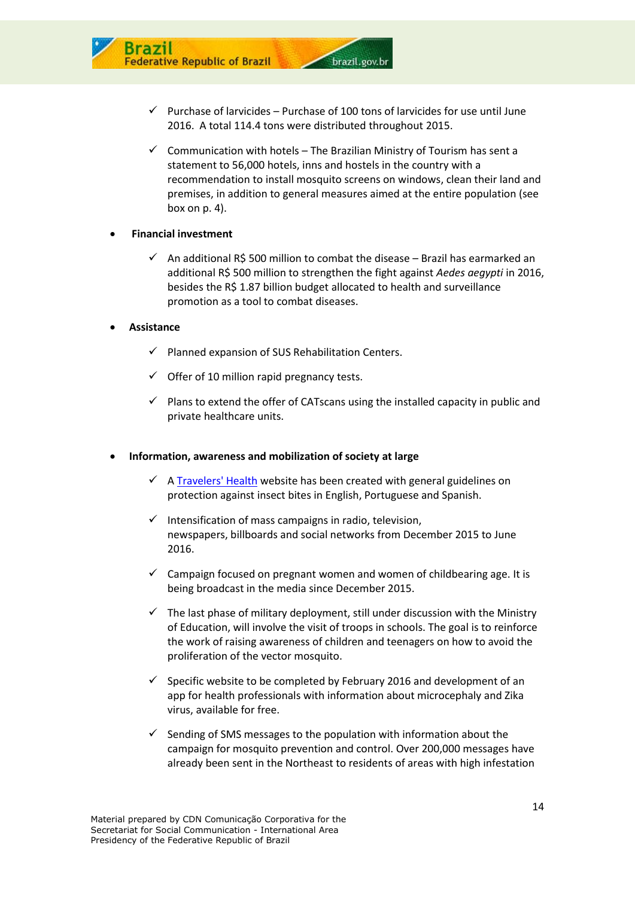

brazil.gov.br

 $\checkmark$  Communication with hotels – The Brazilian Ministry of Tourism has sent a statement to 56,000 hotels, inns and hostels in the country with a recommendation to install mosquito screens on windows, clean their land and premises, in addition to general measures aimed at the entire population (see box on p. 4).

#### **Financial investment**

ative Republic of Brazil

 $\checkmark$  An additional R\$ 500 million to combat the disease – Brazil has earmarked an additional R\$ 500 million to strengthen the fight against *Aedes aegypti* in 2016, besides the R\$ 1.87 billion budget allocated to health and surveillance promotion as a tool to combat diseases.

#### **Assistance**

- $\checkmark$  Planned expansion of SUS Rehabilitation Centers.
- $\checkmark$  Offer of 10 million rapid pregnancy tests.
- $\checkmark$  Plans to extend the offer of CATscans using the installed capacity in public and private healthcare units.

#### **Information, awareness and mobilization of society at large**

- $\checkmark$  A [Travelers' Health](http://portalsaude.saude.gov.br/index.php?option=com_content&view=article&id=9652&Itemid=509) website has been created with general guidelines on protection against insect bites in English, Portuguese and Spanish.
- $\checkmark$  Intensification of mass campaigns in radio, television, newspapers, billboards and social networks from December 2015 to June 2016.
- $\checkmark$  Campaign focused on pregnant women and women of childbearing age. It is being broadcast in the media since December 2015.
- $\checkmark$  The last phase of military deployment, still under discussion with the Ministry of Education, will involve the visit of troops in schools. The goal is to reinforce the work of raising awareness of children and teenagers on how to avoid the proliferation of the vector mosquito.
- $\checkmark$  Specific website to be completed by February 2016 and development of an app for health professionals with information about microcephaly and Zika virus, available for free.
- $\checkmark$  Sending of SMS messages to the population with information about the campaign for mosquito prevention and control. Over 200,000 messages have already been sent in the Northeast to residents of areas with high infestation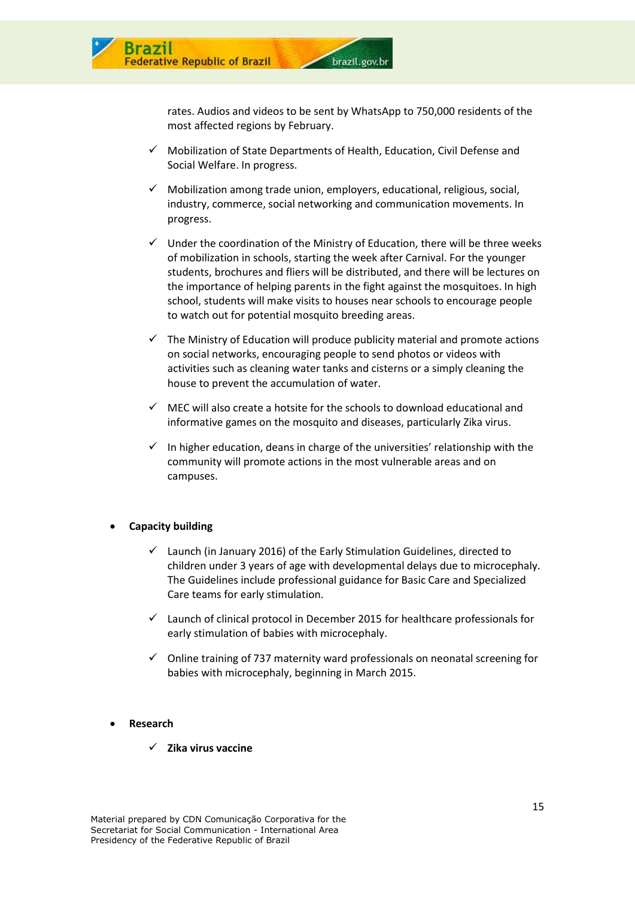

rates. Audios and videos to be sent by WhatsApp to 750,000 residents of the most affected regions by February.

- $\checkmark$  Mobilization of State Departments of Health, Education, Civil Defense and Social Welfare. In progress.
- $\checkmark$  Mobilization among trade union, employers, educational, religious, social, industry, commerce, social networking and communication movements. In progress.
- $\checkmark$  Under the coordination of the Ministry of Education, there will be three weeks of mobilization in schools, starting the week after Carnival. For the younger students, brochures and fliers will be distributed, and there will be lectures on the importance of helping parents in the fight against the mosquitoes. In high school, students will make visits to houses near schools to encourage people to watch out for potential mosquito breeding areas.
- $\checkmark$  The Ministry of Education will produce publicity material and promote actions on social networks, encouraging people to send photos or videos with activities such as cleaning water tanks and cisterns or a simply cleaning the house to prevent the accumulation of water.
- $\checkmark$  MEC will also create a hotsite for the schools to download educational and informative games on the mosquito and diseases, particularly Zika virus.
- $\checkmark$  In higher education, deans in charge of the universities' relationship with the community will promote actions in the most vulnerable areas and on campuses.

#### **Capacity building**

- $\checkmark$  Launch (in January 2016) of the Early Stimulation Guidelines, directed to children under 3 years of age with developmental delays due to microcephaly. The Guidelines include professional guidance for Basic Care and Specialized Care teams for early stimulation.
- $\checkmark$  Launch of clinical protocol in December 2015 for healthcare professionals for early stimulation of babies with microcephaly.
- $\checkmark$  Online training of 737 maternity ward professionals on neonatal screening for babies with microcephaly, beginning in March 2015.

#### **Research**

**Zika virus vaccine**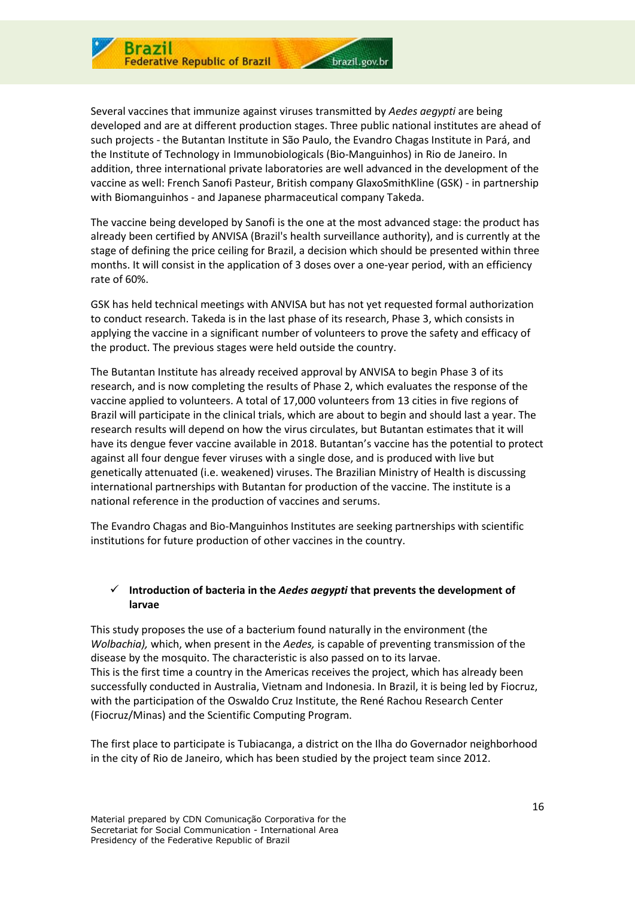

Several vaccines that immunize against viruses transmitted by *Aedes aegypti* are being developed and are at different production stages. Three public national institutes are ahead of such projects - the Butantan Institute in São Paulo, the Evandro Chagas Institute in Pará, and the Institute of Technology in Immunobiologicals (Bio-Manguinhos) in Rio de Janeiro. In addition, three international private laboratories are well advanced in the development of the vaccine as well: French Sanofi Pasteur, British company GlaxoSmithKline (GSK) - in partnership with Biomanguinhos - and Japanese pharmaceutical company Takeda.

The vaccine being developed by Sanofi is the one at the most advanced stage: the product has already been certified by ANVISA (Brazil's health surveillance authority), and is currently at the stage of defining the price ceiling for Brazil, a decision which should be presented within three months. It will consist in the application of 3 doses over a one-year period, with an efficiency rate of 60%.

GSK has held technical meetings with ANVISA but has not yet requested formal authorization to conduct research. Takeda is in the last phase of its research, Phase 3, which consists in applying the vaccine in a significant number of volunteers to prove the safety and efficacy of the product. The previous stages were held outside the country.

The Butantan Institute has already received approval by ANVISA to begin Phase 3 of its research, and is now completing the results of Phase 2, which evaluates the response of the vaccine applied to volunteers. A total of 17,000 volunteers from 13 cities in five regions of Brazil will participate in the clinical trials, which are about to begin and should last a year. The research results will depend on how the virus circulates, but Butantan estimates that it will have its dengue fever vaccine available in 2018. Butantan's vaccine has the potential to protect against all four dengue fever viruses with a single dose, and is produced with live but genetically attenuated (i.e. weakened) viruses. The Brazilian Ministry of Health is discussing international partnerships with Butantan for production of the vaccine. The institute is a national reference in the production of vaccines and serums.

The Evandro Chagas and Bio-Manguinhos Institutes are seeking partnerships with scientific institutions for future production of other vaccines in the country.

#### **Introduction of bacteria in the** *Aedes aegypti* **that prevents the development of larvae**

This study proposes the use of a bacterium found naturally in the environment (the *Wolbachia),* which, when present in the *Aedes,* is capable of preventing transmission of the disease by the mosquito. The characteristic is also passed on to its larvae. This is the first time a country in the Americas receives the project, which has already been successfully conducted in Australia, Vietnam and Indonesia. In Brazil, it is being led by Fiocruz, with the participation of the Oswaldo Cruz Institute, the René Rachou Research Center (Fiocruz/Minas) and the Scientific Computing Program.

The first place to participate is Tubiacanga, a district on the Ilha do Governador neighborhood in the city of Rio de Janeiro, which has been studied by the project team since 2012.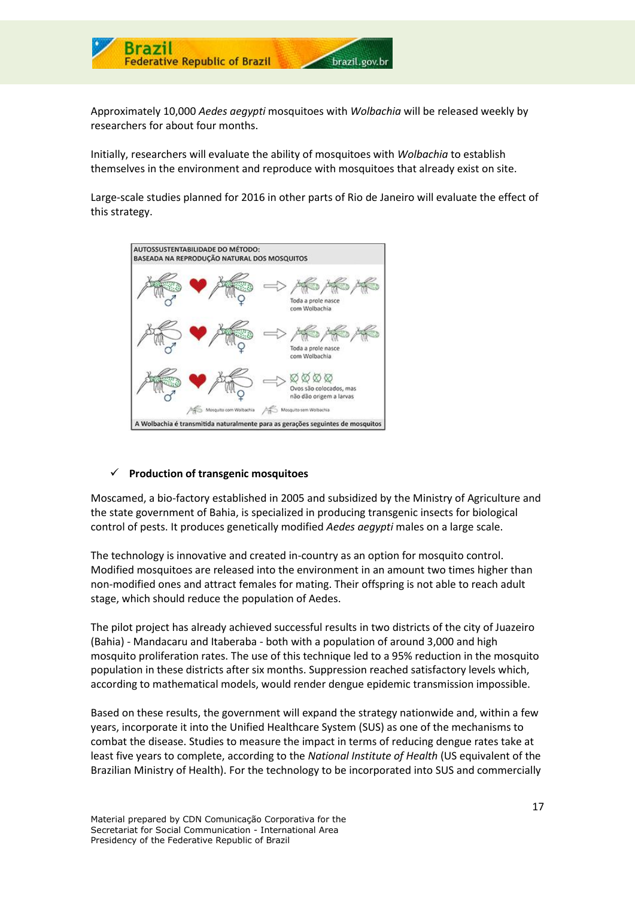

Approximately 10,000 *Aedes aegypti* mosquitoes with *Wolbachia* will be released weekly by researchers for about four months.

Initially, researchers will evaluate the ability of mosquitoes with *Wolbachia* to establish themselves in the environment and reproduce with mosquitoes that already exist on site.

Large-scale studies planned for 2016 in other parts of Rio de Janeiro will evaluate the effect of this strategy.



#### **Production of transgenic mosquitoes**

Moscamed, a bio-factory established in 2005 and subsidized by the Ministry of Agriculture and the state government of Bahia, is specialized in producing transgenic insects for biological control of pests. It produces genetically modified *Aedes aegypti* males on a large scale.

The technology is innovative and created in-country as an option for mosquito control. Modified mosquitoes are released into the environment in an amount two times higher than non-modified ones and attract females for mating. Their offspring is not able to reach adult stage, which should reduce the population of Aedes.

The pilot project has already achieved successful results in two districts of the city of Juazeiro (Bahia) - Mandacaru and Itaberaba - both with a population of around 3,000 and high mosquito proliferation rates. The use of this technique led to a 95% reduction in the mosquito population in these districts after six months. Suppression reached satisfactory levels which, according to mathematical models, would render dengue epidemic transmission impossible.

Based on these results, the government will expand the strategy nationwide and, within a few years, incorporate it into the Unified Healthcare System (SUS) as one of the mechanisms to combat the disease. Studies to measure the impact in terms of reducing dengue rates take at least five years to complete, according to the *National Institute of Health* (US equivalent of the Brazilian Ministry of Health). For the technology to be incorporated into SUS and commercially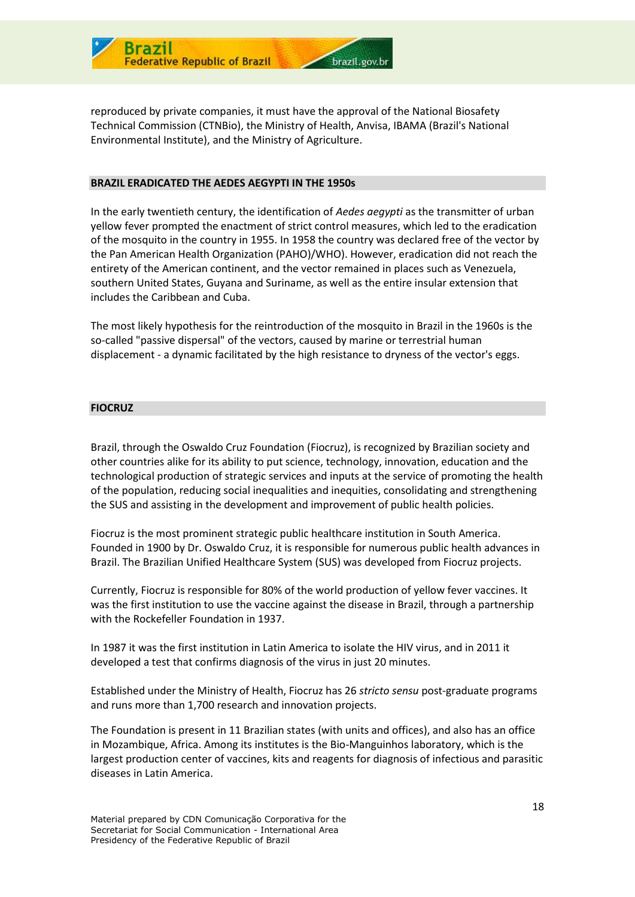

reproduced by private companies, it must have the approval of the National Biosafety Technical Commission (CTNBio), the Ministry of Health, Anvisa, IBAMA (Brazil's National Environmental Institute), and the Ministry of Agriculture.

#### **BRAZIL ERADICATED THE AEDES AEGYPTI IN THE 1950s**

In the early twentieth century, the identification of *Aedes aegypti* as the transmitter of urban yellow fever prompted the enactment of strict control measures, which led to the eradication of the mosquito in the country in 1955. In 1958 the country was declared free of the vector by the Pan American Health Organization (PAHO)/WHO). However, eradication did not reach the entirety of the American continent, and the vector remained in places such as Venezuela, southern United States, Guyana and Suriname, as well as the entire insular extension that includes the Caribbean and Cuba.

The most likely hypothesis for the reintroduction of the mosquito in Brazil in the 1960s is the so-called "passive dispersal" of the vectors, caused by marine or terrestrial human displacement - a dynamic facilitated by the high resistance to dryness of the vector's eggs.

#### **FIOCRUZ**

Brazil, through the Oswaldo Cruz Foundation (Fiocruz), is recognized by Brazilian society and other countries alike for its ability to put science, technology, innovation, education and the technological production of strategic services and inputs at the service of promoting the health of the population, reducing social inequalities and inequities, consolidating and strengthening the SUS and assisting in the development and improvement of public health policies.

Fiocruz is the most prominent strategic public healthcare institution in South America. Founded in 1900 by Dr. Oswaldo Cruz, it is responsible for numerous public health advances in Brazil. The Brazilian Unified Healthcare System (SUS) was developed from Fiocruz projects.

Currently, Fiocruz is responsible for 80% of the world production of yellow fever vaccines. It was the first institution to use the vaccine against the disease in Brazil, through a partnership with the Rockefeller Foundation in 1937.

In 1987 it was the first institution in Latin America to isolate the HIV virus, and in 2011 it developed a test that confirms diagnosis of the virus in just 20 minutes.

Established under the Ministry of Health, Fiocruz has 26 *stricto sensu* post-graduate programs and runs more than 1,700 research and innovation projects.

The Foundation is present in 11 Brazilian states (with units and offices), and also has an office in Mozambique, Africa. Among its institutes is the Bio-Manguinhos laboratory, which is the largest production center of vaccines, kits and reagents for diagnosis of infectious and parasitic diseases in Latin America.